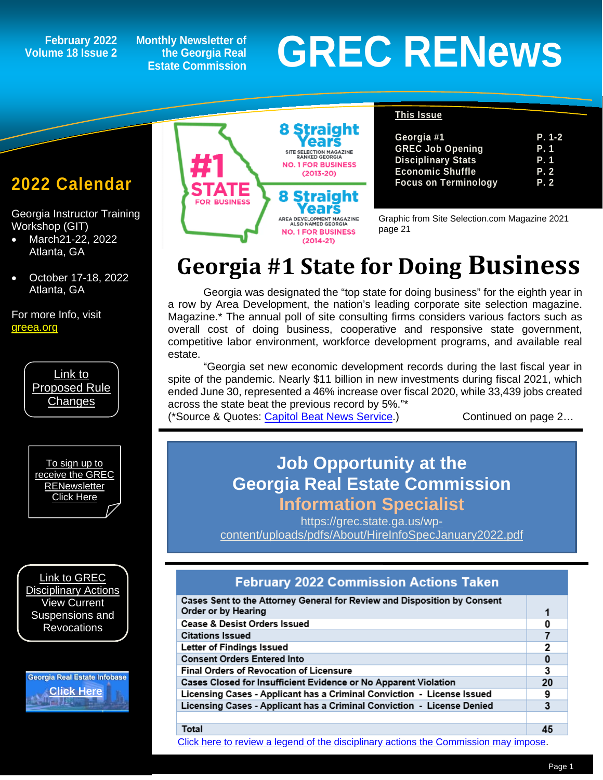## **Volume 18 Issue 2**

**Monthly Newsletter of the Georgia Real Estate Commission**

# February 2022 Monthly Newsletter of<br>Ime 18 Issue 2 the Georgia Real GREC RENEWS

## **2022 Calendar**

*1*

Georgia Instructor Training Workshop (GIT)

- March21-22, 2022 Atlanta, GA
- October 17-18, 2022 Atlanta, GA

For more Info, visit [greea.org](http://www.annualschoolmeeting.com/grecgit/welcome/)



[To sign up to](https://grec.state.ga.us/newsletters/)  [receive the GREC](https://grec.state.ga.us/newsletters/)  **RENewsletter** [Click Here](https://grec.state.ga.us/newsletters/)

[Link to GREC](https://grec.state.ga.us/information-research/disciplinary-actions/real-estate/)  [Disciplinary Actions](https://grec.state.ga.us/information-research/disciplinary-actions/real-estate/) View Current Suspensions and **Revocations** 

Georgia Real Estate Infobase **[Click Here](https://www.grec.state.ga.us/infobase/infobase.html)**



#### **This Issue**

| Georgia #1                  | P. 1-2 |
|-----------------------------|--------|
| <b>GREC Job Opening</b>     | P. 1   |
| <b>Disciplinary Stats</b>   | P. 1   |
| <b>Economic Shuffle</b>     | P.2    |
| <b>Focus on Terminology</b> | P.2    |

Graphic from Site Selection.com Magazine 2021 page 21

# **Georgia #1 State for Doing Business**

Georgia was designated the "top state for doing business" for the eighth year in a row by Area Development, the nation's leading corporate site selection magazine. Magazine.\* The annual poll of site consulting firms considers various factors such as overall cost of doing business, cooperative and responsive state government, competitive labor environment, workforce development programs, and available real estate.

"Georgia set new economic development records during the last fiscal year in spite of the pandemic. Nearly \$11 billion in new investments during fiscal 2021, which ended June 30, represented a 46% increase over fiscal 2020, while 33,439 jobs created across the state beat the previous record by 5%."\*

(\*Source & Quotes: [Capitol Beat News Service.](http://capitol-beat.org/2021/10/georgia-remains-no-1-state-for-doing-business/#:%7E:text=Georgia%20set%20new%20economic%20development,the%20previous%20record%20by%205%25)) Continued on page 2...

## **Job Opportunity at the Georgia Real Estate Commission Information Specialist**

[https://grec.state.ga.us/wp](https://grec.state.ga.us/wp-content/uploads/pdfs/About/HireInfoSpecJanuary2022.pdf)[content/uploads/pdfs/About/HireInfoSpecJanuary2022.pdf](https://grec.state.ga.us/wp-content/uploads/pdfs/About/HireInfoSpecJanuary2022.pdf)

### **February 2022 Commission Actions Taken**

| Cases Sent to the Attorney General for Review and Disposition by Consent<br>Order or by Hearing | 1  |
|-------------------------------------------------------------------------------------------------|----|
| <b>Cease &amp; Desist Orders Issued</b>                                                         | 0  |
| <b>Citations Issued</b>                                                                         |    |
| Letter of Findings Issued                                                                       | 2  |
| <b>Consent Orders Entered Into</b>                                                              | 0  |
| <b>Final Orders of Revocation of Licensure</b>                                                  | 3  |
| Cases Closed for Insufficient Evidence or No Apparent Violation                                 | 20 |
| Licensing Cases - Applicant has a Criminal Conviction - License Issued                          | 9  |
| Licensing Cases - Applicant has a Criminal Conviction - License Denied                          | 3  |
|                                                                                                 |    |
| Total                                                                                           | 45 |

[Click here to review a legend of the disciplinary actions the Commission may impose.](https://www.jmre.com/grec/GRECDisciplinaryTools.pdf)